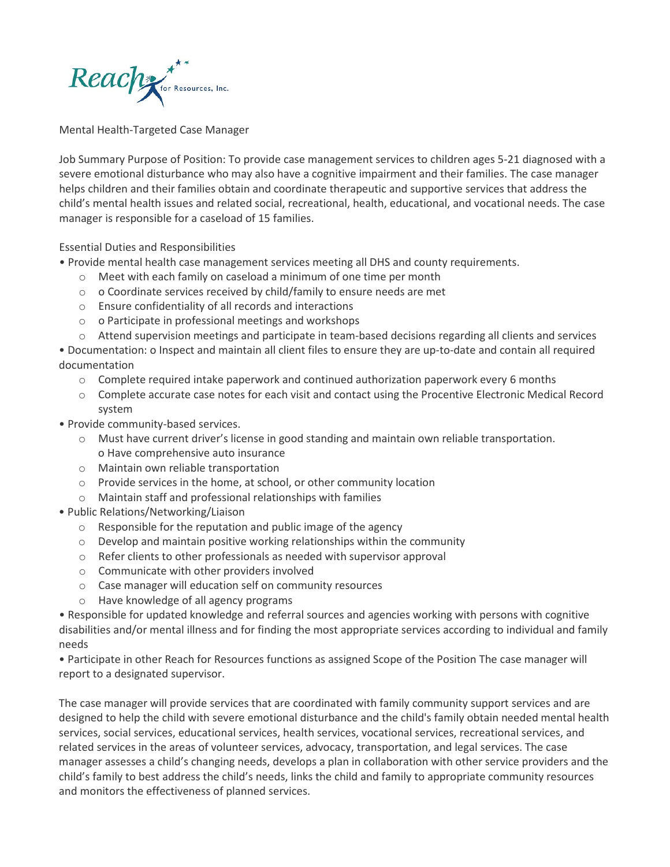

Mental Health-Targeted Case Manager

Job Summary Purpose of Position: To provide case management services to children ages 5-21 diagnosed with a severe emotional disturbance who may also have a cognitive impairment and their families. The case manager helps children and their families obtain and coordinate therapeutic and supportive services that address the child's mental health issues and related social, recreational, health, educational, and vocational needs. The case manager is responsible for a caseload of 15 families.

## Essential Duties and Responsibilities

• Provide mental health case management services meeting all DHS and county requirements.

- o Meet with each family on caseload a minimum of one time per month
- o o Coordinate services received by child/family to ensure needs are met
- o Ensure confidentiality of all records and interactions
- o o Participate in professional meetings and workshops
- o Attend supervision meetings and participate in team-based decisions regarding all clients and services

• Documentation: o Inspect and maintain all client files to ensure they are up-to-date and contain all required documentation

- $\circ$  Complete required intake paperwork and continued authorization paperwork every 6 months
- o Complete accurate case notes for each visit and contact using the Procentive Electronic Medical Record system
- Provide community-based services.
	- o Must have current driver's license in good standing and maintain own reliable transportation. o Have comprehensive auto insurance
	- o Maintain own reliable transportation
	- o Provide services in the home, at school, or other community location
	- o Maintain staff and professional relationships with families
- Public Relations/Networking/Liaison
	- o Responsible for the reputation and public image of the agency
	- o Develop and maintain positive working relationships within the community
	- o Refer clients to other professionals as needed with supervisor approval
	- o Communicate with other providers involved
	- o Case manager will education self on community resources
	- o Have knowledge of all agency programs

• Responsible for updated knowledge and referral sources and agencies working with persons with cognitive disabilities and/or mental illness and for finding the most appropriate services according to individual and family needs

• Participate in other Reach for Resources functions as assigned Scope of the Position The case manager will report to a designated supervisor.

The case manager will provide services that are coordinated with family community support services and are designed to help the child with severe emotional disturbance and the child's family obtain needed mental health services, social services, educational services, health services, vocational services, recreational services, and related services in the areas of volunteer services, advocacy, transportation, and legal services. The case manager assesses a child's changing needs, develops a plan in collaboration with other service providers and the child's family to best address the child's needs, links the child and family to appropriate community resources and monitors the effectiveness of planned services.